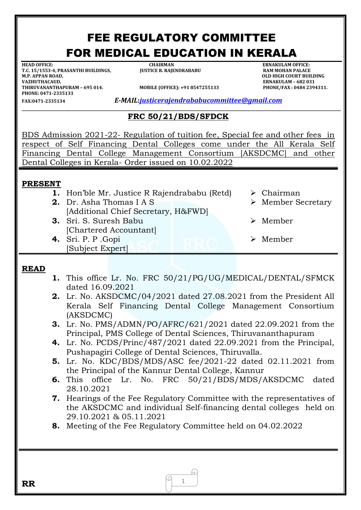# FEE REGULATORY COMMITTEE FOR MEDICAL EDUCATION IN KERALA

**HEAD OFFICE: CHAIRMAN ERNAKULAM OFFICE: T.C. 15/1553-4, PRASANTHI BUILDINGS, M.P. APPAN ROAD, OLD HIGH COURT BUILDING VAZHUTHACAUD, ERNAKULAM – 682 031 PHONE: 0471-2335133** 

**THIRUVALLE (OFFICE): +91 8547255133 PHONE/FAX : 0484 2394311.** 

**FAX:0471-2335134** *E-MAIL***:***[justicerajendrababucommittee@gmail.com](mailto:justicerajendrababucommittee@gmail.com)*

#### **\_\_\_\_\_\_\_\_\_\_\_\_\_\_\_\_\_\_\_\_\_\_\_\_\_\_\_\_\_\_\_\_\_\_\_\_\_\_\_\_\_\_\_\_\_\_\_\_\_\_\_\_\_\_\_\_\_\_\_\_\_\_\_\_\_\_\_\_\_\_\_\_\_\_\_\_\_\_\_\_\_\_\_\_\_\_\_\_\_\_\_\_\_\_\_\_\_\_\_\_\_\_\_\_\_\_\_\_\_\_\_\_\_\_\_\_\_\_\_\_\_\_\_\_\_\_\_\_\_\_\_\_\_\_\_\_\_\_\_\_\_\_ FRC 50/21/BDS/SFDCK**

BDS Admission 2021-22- Regulation of tuition fee, Special fee and other fees in respect of Self Financing Dental Colleges come under the All Kerala Self Financing Dental College Management Consortium [AKSDCMC] and other Dental Colleges in Kerala- Order issued on 10.02.2022

## **PRESENT**

- **1.** Hon'ble Mr. Justice R Rajendrababu (Retd) > Chairman
- **2.** Dr. Asha Thomas I A S [Additional Chief Secretary, H&FWD]
- **3.** Sri. S. Suresh Babu [Chartered Accountant]
- **4.** Sri. P. P .Gopi [Subject Expert]
- 
- Member Secretary
- Member
- Member

## **READ**

- **1.** This office Lr. No. FRC 50/21/PG/UG/MEDICAL/DENTAL/SFMCK dated 16.09.2021
- **2.** Lr. No. AKSDCMC/04/2021 dated 27.08.2021 from the President All Kerala Self Financing Dental College Management Consortium (AKSDCMC)
- **3.** Lr. No. PMS/ADMN/PO/AFRC/621/2021 dated 22.09.2021 from the Principal, PMS College of Dental Sciences, Thiruvananthapuram
- **4.** Lr. No. PCDS/Princ/487/2021 dated 22.09.2021 from the Principal, Pushapagiri College of Dental Sciences, Thiruvalla.
- **5.** Lr. No. KDC/BDS/MDS/ASC fee/2021-22 dated 02.11.2021 from the Principal of the Kannur Dental College, Kannur
- **6.** This office Lr. No. FRC 50/21/BDS/MDS/AKSDCMC dated 28.10.2021
- **7.** Hearings of the Fee Regulatory Committee with the representatives of the AKSDCMC and individual Self-financing dental colleges held on 29.10.2021 & 05.11.2021
- **8.** Meeting of the Fee Regulatory Committee held on 04.02.2022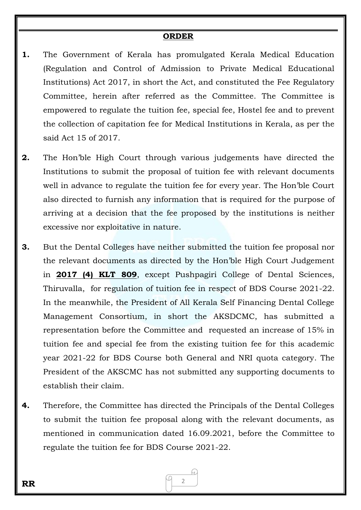### **ORDER**

- **1.** The Government of Kerala has promulgated Kerala Medical Education (Regulation and Control of Admission to Private Medical Educational Institutions) Act 2017, in short the Act, and constituted the Fee Regulatory Committee, herein after referred as the Committee. The Committee is empowered to regulate the tuition fee, special fee, Hostel fee and to prevent the collection of capitation fee for Medical Institutions in Kerala, as per the said Act 15 of 2017.
- **2.** The Hon'ble High Court through various judgements have directed the Institutions to submit the proposal of tuition fee with relevant documents well in advance to regulate the tuition fee for every year. The Hon'ble Court also directed to furnish any information that is required for the purpose of arriving at a decision that the fee proposed by the institutions is neither excessive nor exploitative in nature.
- **3.** But the Dental Colleges have neither submitted the tuition fee proposal nor the relevant documents as directed by the Hon'ble High Court Judgement in **2017 (4) KLT 809**, except Pushpagiri College of Dental Sciences, Thiruvalla, for regulation of tuition fee in respect of BDS Course 2021-22. In the meanwhile, the President of All Kerala Self Financing Dental College Management Consortium, in short the AKSDCMC, has submitted a representation before the Committee and requested an increase of 15% in tuition fee and special fee from the existing tuition fee for this academic year 2021-22 for BDS Course both General and NRI quota category. The President of the AKSCMC has not submitted any supporting documents to establish their claim.
- **4.** Therefore, the Committee has directed the Principals of the Dental Colleges to submit the tuition fee proposal along with the relevant documents, as mentioned in communication dated 16.09.2021, before the Committee to regulate the tuition fee for BDS Course 2021-22.

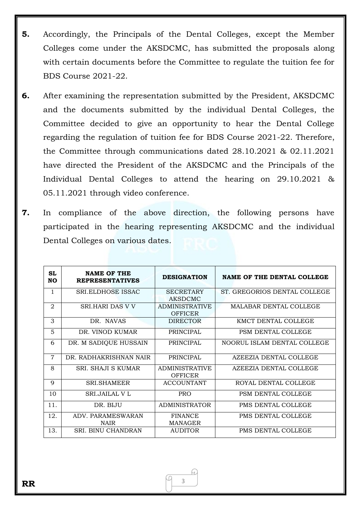- **5.** Accordingly, the Principals of the Dental Colleges, except the Member Colleges come under the AKSDCMC, has submitted the proposals along with certain documents before the Committee to regulate the tuition fee for BDS Course 2021-22.
- **6.** After examining the representation submitted by the President, AKSDCMC and the documents submitted by the individual Dental Colleges, the Committee decided to give an opportunity to hear the Dental College regarding the regulation of tuition fee for BDS Course 2021-22. Therefore, the Committee through communications dated 28.10.2021 & 02.11.2021 have directed the President of the AKSDCMC and the Principals of the Individual Dental Colleges to attend the hearing on 29.10.2021 & 05.11.2021 through video conference.
- **7.** In compliance of the above direction, the following persons have participated in the hearing representing AKSDCMC and the individual Dental Colleges on various dates.

| SL<br>NΟ       | <b>NAME OF THE</b><br><b>REPRESENTATIVES</b> | <b>DESIGNATION</b>                      | <b>NAME OF THE DENTAL COLLEGE</b> |
|----------------|----------------------------------------------|-----------------------------------------|-----------------------------------|
| 1              | SRI.ELDHOSE ISSAC                            | <b>SECRETARY</b><br>AKSDCMC             | ST. GREGORIOS DENTAL COLLEGE      |
| $\overline{2}$ | <b>SRI.HARI DAS V V</b>                      | <b>ADMINISTRATIVE</b><br><b>OFFICER</b> | <b>MALABAR DENTAL COLLEGE</b>     |
| 3              | DR. NAVAS                                    | <b>DIRECTOR</b>                         | KMCT DENTAL COLLEGE               |
| 5              | DR. VINOD KUMAR                              | <b>PRINCIPAL</b>                        | PSM DENTAL COLLEGE                |
| 6              | DR. M SADIQUE HUSSAIN                        | PRINCIPAL                               | NOORUL ISLAM DENTAL COLLEGE       |
| $\overline{7}$ | DR. RADHAKRISHNAN NAIR                       | <b>PRINCIPAL</b>                        | AZEEZIA DENTAL COLLEGE            |
| 8              | SRI. SHAJI S KUMAR                           | <b>ADMINISTRATIVE</b><br><b>OFFICER</b> | AZEEZIA DENTAL COLLEGE            |
| $\mathbf Q$    | <b>SRI.SHAMEER</b>                           | <b>ACCOUNTANT</b>                       | ROYAL DENTAL COLLEGE              |
| 10             | <b>SRLJAILAL V L</b>                         | <b>PRO</b>                              | PSM DENTAL COLLEGE                |
| 11.            | DR. BIJU                                     | <b>ADMINISTRATOR</b>                    | PMS DENTAL COLLEGE                |
| 12.            | ADV. PARAMESWARAN<br><b>NAIR</b>             | <b>FINANCE</b><br><b>MANAGER</b>        | PMS DENTAL COLLEGE                |
| 13.            | SRI. BINU CHANDRAN                           | <b>AUDITOR</b>                          | PMS DENTAL COLLEGE                |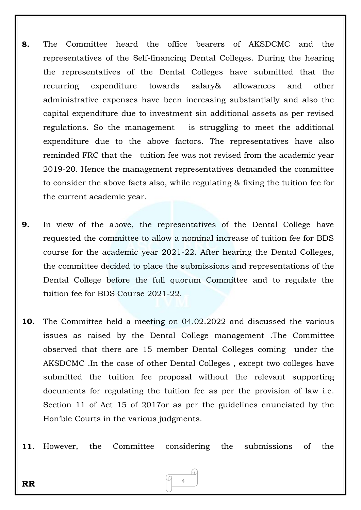- **8.** The Committee heard the office bearers of AKSDCMC and the representatives of the Self-financing Dental Colleges. During the hearing the representatives of the Dental Colleges have submitted that the recurring expenditure towards salary& allowances and other administrative expenses have been increasing substantially and also the capital expenditure due to investment sin additional assets as per revised regulations. So the management is struggling to meet the additional expenditure due to the above factors. The representatives have also reminded FRC that the tuition fee was not revised from the academic year 2019-20. Hence the management representatives demanded the committee to consider the above facts also, while regulating & fixing the tuition fee for the current academic year.
- **9.** In view of the above, the representatives of the Dental College have requested the committee to allow a nominal increase of tuition fee for BDS course for the academic year 2021-22. After hearing the Dental Colleges, the committee decided to place the submissions and representations of the Dental College before the full quorum Committee and to regulate the tuition fee for BDS Course 2021-22.
- **10.** The Committee held a meeting on 04.02.2022 and discussed the various issues as raised by the Dental College management .The Committee observed that there are 15 member Dental Colleges coming under the AKSDCMC .In the case of other Dental Colleges , except two colleges have submitted the tuition fee proposal without the relevant supporting documents for regulating the tuition fee as per the provision of law i.e. Section 11 of Act 15 of 2017or as per the guidelines enunciated by the Hon'ble Courts in the various judgments.
- **11.** However, the Committee considering the submissions of the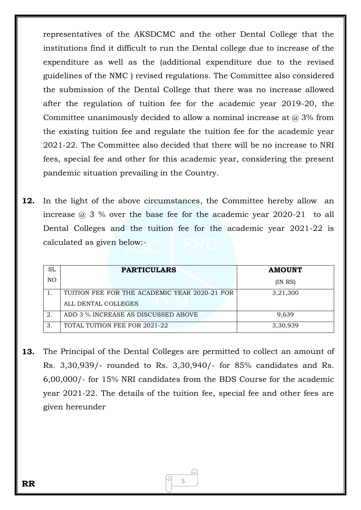representatives of the AKSDCMC and the other Dental College that the institutions find it difficult to run the Dental college due to increase of the expenditure as well as the (additional expenditure due to the revised guidelines of the NMC ) revised regulations. The Committee also considered the submission of the Dental College that there was no increase allowed after the regulation of tuition fee for the academic year 2019-20, the Committee unanimously decided to allow a nominal increase at  $\omega$  3% from the existing tuition fee and regulate the tuition fee for the academic year 2021-22. The Committee also decided that there will be no increase to NRI fees, special fee and other for this academic year, considering the present pandemic situation prevailing in the Country.

**12.** In the light of the above circumstances, the Committee hereby allow an increase  $\omega$  3 % over the base fee for the academic year 2020-21 to all Dental Colleges and the tuition fee for the academic year 2021-22 is calculated as given below:-

| SL  | <b>PARTICULARS</b>                            | <b>AMOUNT</b> |
|-----|-----------------------------------------------|---------------|
| NO. |                                               | (IN RS)       |
|     | TUITION FEE FOR THE ACADEMIC YEAR 2020-21 FOR | 3,21,300      |
|     | ALL DENTAL COLLEGES                           |               |
| 2.  | ADD 3 % INCREASE AS DISCUSSED ABOVE           | 9,639         |
| 3   | TOTAL TUITION FEE FOR 2021-22                 | 3,30,939      |

**13.** The Principal of the Dental Colleges are permitted to collect an amount of Rs. 3,30,939/- rounded to Rs. 3,30,940/- for 85% candidates and Rs. 6,00,000/- for 15% NRI candidates from the BDS Course for the academic year 2021-22. The details of the tuition fee, special fee and other fees are given hereunder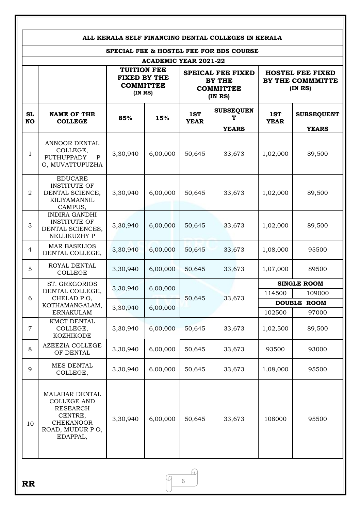| SPECIAL FEE & HOSTEL FEE FOR BDS COURSE |                                                                                                                       |                                                                         |          |                                                                         |                                       |                                                       |                                   |
|-----------------------------------------|-----------------------------------------------------------------------------------------------------------------------|-------------------------------------------------------------------------|----------|-------------------------------------------------------------------------|---------------------------------------|-------------------------------------------------------|-----------------------------------|
| <b>ACADEMIC YEAR 2021-22</b>            |                                                                                                                       |                                                                         |          |                                                                         |                                       |                                                       |                                   |
|                                         |                                                                                                                       | <b>TUITION FEE</b><br><b>FIXED BY THE</b><br><b>COMMITTEE</b><br>(INRS) |          | <b>SPEICAL FEE FIXED</b><br><b>BY THE</b><br><b>COMMITTEE</b><br>(INRS) |                                       | <b>HOSTEL FEE FIXED</b><br>BY THE COMMMITTE<br>(INRS) |                                   |
| <b>SL</b><br><b>NO</b>                  | <b>NAME OF THE</b><br><b>COLLEGE</b>                                                                                  | 85%                                                                     | 15%      | 1ST<br><b>YEAR</b>                                                      | <b>SUBSEQUEN</b><br>Т<br><b>YEARS</b> | 1ST<br><b>YEAR</b>                                    | <b>SUBSEQUENT</b><br><b>YEARS</b> |
| $\mathbf{1}$                            | ANNOOR DENTAL<br>COLLEGE,<br><b>PUTHUPPADY</b><br>P<br>O, MUVATTUPUZHA                                                | 3,30,940                                                                | 6,00,000 | 50,645                                                                  | 33,673                                | 1,02,000                                              | 89,500                            |
| $\overline{2}$                          | <b>EDUCARE</b><br><b>INSTITUTE OF</b><br>DENTAL SCIENCE,<br>KILIYAMANNIL<br>CAMPUS,                                   | 3,30,940                                                                | 6,00,000 | 50,645                                                                  | 33,673                                | 1,02,000                                              | 89,500                            |
| 3                                       | <b>INDIRA GANDHI</b><br><b>INSTITUTE OF</b><br>DENTAL SCIENCES,<br>NELLIKUZHY P                                       | 3,30,940                                                                | 6,00,000 | 50,645                                                                  | 33,673                                | 1,02,000                                              | 89,500                            |
| $\overline{4}$                          | <b>MAR BASELIOS</b><br>DENTAL COLLEGE,                                                                                | 3,30,940                                                                | 6,00,000 | 50,645                                                                  | 33,673                                | 1,08,000                                              | 95500                             |
| 5                                       | ROYAL DENTAL<br><b>COLLEGE</b>                                                                                        | 3,30,940                                                                | 6,00,000 | 50,645                                                                  | 33,673                                | 1,07,000                                              | 89500                             |
|                                         | ST. GREGORIOS<br>DENTAL COLLEGE,<br>CHELAD PO,<br>KOTHAMANGALAM,<br><b>ERNAKULAM</b>                                  | 3,30,940                                                                | 6,00,000 | 50,645                                                                  | 33,673                                |                                                       | <b>SINGLE ROOM</b>                |
| 6                                       |                                                                                                                       |                                                                         |          |                                                                         |                                       | 114500                                                | 109000                            |
|                                         |                                                                                                                       | 3,30,940                                                                | 6,00,000 |                                                                         |                                       | 102500                                                | <b>DOUBLE ROOM</b><br>97000       |
| $\overline{7}$                          | KMCT DENTAL<br>COLLEGE,<br><b>KOZHIKODE</b>                                                                           | 3,30,940                                                                | 6,00,000 | 50,645                                                                  | 33,673                                | 1,02,500                                              | 89,500                            |
| 8                                       | AZEEZIA COLLEGE<br>OF DENTAL                                                                                          | 3,30,940                                                                | 6,00,000 | 50,645                                                                  | 33,673                                | 93500                                                 | 93000                             |
| 9                                       | MES DENTAL<br>COLLEGE,                                                                                                | 3,30,940                                                                | 6,00,000 | 50,645                                                                  | 33,673                                | 1,08,000                                              | 95500                             |
| 10                                      | MALABAR DENTAL<br><b>COLLEGE AND</b><br><b>RESEARCH</b><br>CENTRE,<br><b>CHEKANOOR</b><br>ROAD, MUDUR PO,<br>EDAPPAL, | 3,30,940                                                                | 6,00,000 | 50,645                                                                  | 33,673                                | 108000                                                | 95500                             |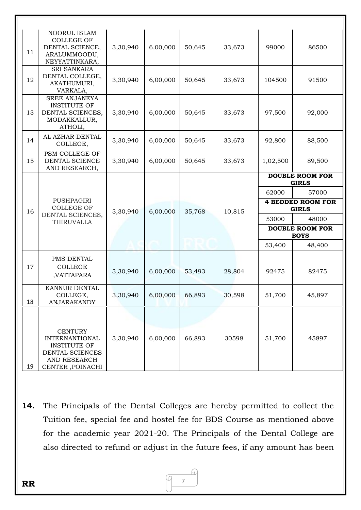| 11 | NOORUL ISLAM<br><b>COLLEGE OF</b><br>DENTAL SCIENCE,<br>ARALUMMOODU,<br>NEYYATTINKARA,     | 3,30,940 | 6,00,000 | 50,645 | 33,673 | 99000                                    | 86500  |
|----|--------------------------------------------------------------------------------------------|----------|----------|--------|--------|------------------------------------------|--------|
| 12 | <b>SRI SANKARA</b><br>DENTAL COLLEGE,<br>AKATHUMURI,<br>VARKALA,                           | 3,30,940 | 6,00,000 | 50,645 | 33,673 | 104500                                   | 91500  |
| 13 | <b>SREE ANJANEYA</b><br><b>INSTITUTE OF</b><br>DENTAL SCIENCES,<br>MODAKKALLUR,<br>ATHOLI, | 3,30,940 | 6,00,000 | 50,645 | 33,673 | 97,500                                   | 92,000 |
| 14 | AL AZHAR DENTAL<br>COLLEGE,                                                                | 3,30,940 | 6,00,000 | 50,645 | 33,673 | 92,800                                   | 88,500 |
| 15 | PSM COLLEGE OF<br>DENTAL SCIENCE<br>AND RESEARCH,                                          | 3,30,940 | 6,00,000 | 50,645 | 33,673 | 1,02,500                                 | 89,500 |
|    | PUSHPAGIRI<br><b>COLLEGE OF</b><br>DENTAL SCIENCES,<br>THIRUVALLA                          | 3,30,940 | 6,00,000 | 35,768 | 10,815 | <b>DOUBLE ROOM FOR</b><br><b>GIRLS</b>   |        |
|    |                                                                                            |          |          |        |        | 62000                                    | 57000  |
| 16 |                                                                                            |          |          |        |        | <b>4 BEDDED ROOM FOR</b><br><b>GIRLS</b> |        |
|    |                                                                                            |          |          |        |        | 53000                                    | 48000  |
|    |                                                                                            |          |          |        |        | <b>DOUBLE ROOM FOR</b><br><b>BOYS</b>    |        |
|    |                                                                                            |          |          |        |        | 53,400                                   | 48,400 |
| 17 | PMS DENTAL<br>$\sf COLLEGE$<br>,VATTAPARA                                                  | 3,30,940 | 6,00,000 | 53,493 | 28,804 | 92475                                    | 82475  |
|    |                                                                                            |          |          |        |        |                                          |        |
| 18 | KANNUR DENTAL<br>COLLEGE,<br>ANJARAKANDY                                                   | 3,30,940 | 6,00,000 | 66,893 | 30,598 | 51,700                                   | 45,897 |

**14.** The Principals of the Dental Colleges are hereby permitted to collect the Tuition fee, special fee and hostel fee for BDS Course as mentioned above for the academic year 2021-20. The Principals of the Dental College are also directed to refund or adjust in the future fees, if any amount has been